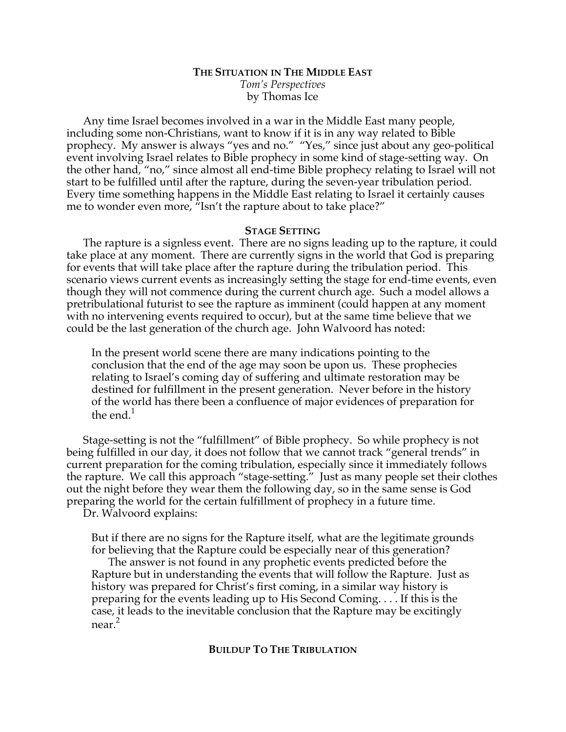# **THE SITUATION IN THE MIDDLE EAST** *Tom's Perspectives* by Thomas Ice

Any time Israel becomes involved in a war in the Middle East many people, including some non-Christians, want to know if it is in any way related to Bible prophecy. My answer is always "yes and no." "Yes," since just about any geo-political event involving Israel relates to Bible prophecy in some kind of stage-setting way. On the other hand, "no," since almost all end-time Bible prophecy relating to Israel will not start to be fulfilled until after the rapture, during the seven-year tribulation period. Every time something happens in the Middle East relating to Israel it certainly causes me to wonder even more, "Isn't the rapture about to take place?"

## **STAGE SETTING**

The rapture is a signless event. There are no signs leading up to the rapture, it could take place at any moment. There are currently signs in the world that God is preparing for events that will take place after the rapture during the tribulation period. This scenario views current events as increasingly setting the stage for end-time events, even though they will not commence during the current church age. Such a model allows a pretribulational futurist to see the rapture as imminent (could happen at any moment with no intervening events required to occur), but at the same time believe that we could be the last generation of the church age. John Walvoord has noted:

In the present world scene there are many indications pointing to the conclusion that the end of the age may soon be upon us. These prophecies relating to Israel's coming day of suffering and ultimate restoration may be destined for fulfillment in the present generation. Never before in the history of the world has there been a confluence of major evidences of preparation for the end. $<sup>1</sup>$ </sup>

Stage-setting is not the "fulfillment" of Bible prophecy. So while prophecy is not being fulfilled in our day, it does not follow that we cannot track "general trends" in current preparation for the coming tribulation, especially since it immediately follows the rapture. We call this approach "stage-setting." Just as many people set their clothes out the night before they wear them the following day, so in the same sense is God preparing the world for the certain fulfillment of prophecy in a future time.

Dr. Walvoord explains:

But if there are no signs for the Rapture itself, what are the legitimate grounds for believing that the Rapture could be especially near of this generation?

The answer is not found in any prophetic events predicted before the Rapture but in understanding the events that will follow the Rapture. Just as history was prepared for Christ's first coming, in a similar way history is preparing for the events leading up to His Second Coming. . . . If this is the case, it leads to the inevitable conclusion that the Rapture may be excitingly near.<sup>2</sup>

## **BUILDUP TO THE TRIBULATION**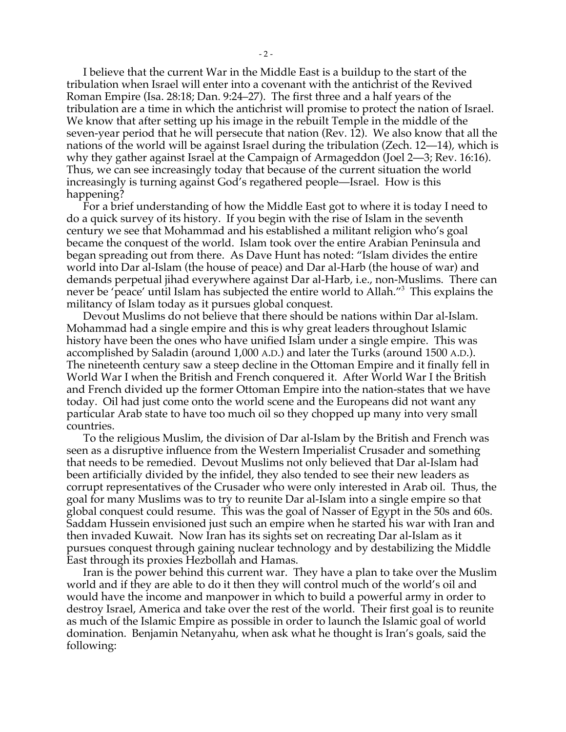I believe that the current War in the Middle East is a buildup to the start of the tribulation when Israel will enter into a covenant with the antichrist of the Revived Roman Empire (Isa. 28:18; Dan. 9:24–27). The first three and a half years of the tribulation are a time in which the antichrist will promise to protect the nation of Israel. We know that after setting up his image in the rebuilt Temple in the middle of the seven-year period that he will persecute that nation (Rev. 12). We also know that all the nations of the world will be against Israel during the tribulation (Zech. 12—14), which is why they gather against Israel at the Campaign of Armageddon (Joel 2—3; Rev. 16:16). Thus, we can see increasingly today that because of the current situation the world increasingly is turning against God's regathered people—Israel. How is this happening?

For a brief understanding of how the Middle East got to where it is today I need to do a quick survey of its history. If you begin with the rise of Islam in the seventh century we see that Mohammad and his established a militant religion who's goal became the conquest of the world. Islam took over the entire Arabian Peninsula and began spreading out from there. As Dave Hunt has noted: "Islam divides the entire world into Dar al-Islam (the house of peace) and Dar al-Harb (the house of war) and demands perpetual jihad everywhere against Dar al-Harb, i.e., non-Muslims. There can never be 'peace' until Islam has subjected the entire world to Allah."3 This explains the militancy of Islam today as it pursues global conquest.

Devout Muslims do not believe that there should be nations within Dar al-Islam. Mohammad had a single empire and this is why great leaders throughout Islamic history have been the ones who have unified Islam under a single empire. This was accomplished by Saladin (around 1,000 A.D.) and later the Turks (around 1500 A.D.). The nineteenth century saw a steep decline in the Ottoman Empire and it finally fell in World War I when the British and French conquered it. After World War I the British and French divided up the former Ottoman Empire into the nation-states that we have today. Oil had just come onto the world scene and the Europeans did not want any particular Arab state to have too much oil so they chopped up many into very small countries.

To the religious Muslim, the division of Dar al-Islam by the British and French was seen as a disruptive influence from the Western Imperialist Crusader and something that needs to be remedied. Devout Muslims not only believed that Dar al-Islam had been artificially divided by the infidel, they also tended to see their new leaders as corrupt representatives of the Crusader who were only interested in Arab oil. Thus, the goal for many Muslims was to try to reunite Dar al-Islam into a single empire so that global conquest could resume. This was the goal of Nasser of Egypt in the 50s and 60s. Saddam Hussein envisioned just such an empire when he started his war with Iran and then invaded Kuwait. Now Iran has its sights set on recreating Dar al-Islam as it pursues conquest through gaining nuclear technology and by destabilizing the Middle East through its proxies Hezbollah and Hamas.

Iran is the power behind this current war. They have a plan to take over the Muslim world and if they are able to do it then they will control much of the world's oil and would have the income and manpower in which to build a powerful army in order to destroy Israel, America and take over the rest of the world. Their first goal is to reunite as much of the Islamic Empire as possible in order to launch the Islamic goal of world domination. Benjamin Netanyahu, when ask what he thought is Iran's goals, said the following: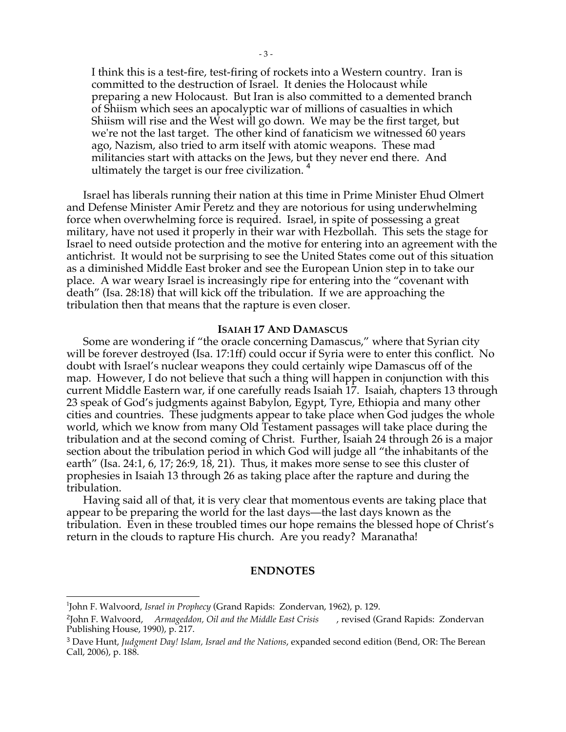I think this is a test-fire, test-firing of rockets into a Western country. Iran is committed to the destruction of Israel. It denies the Holocaust while preparing a new Holocaust. But Iran is also committed to a demented branch of Shiism which sees an apocalyptic war of millions of casualties in which Shiism will rise and the West will go down. We may be the first target, but we're not the last target. The other kind of fanaticism we witnessed 60 years ago, Nazism, also tried to arm itself with atomic weapons. These mad militancies start with attacks on the Jews, but they never end there. And ultimately the target is our free civilization.<sup>4</sup>

Israel has liberals running their nation at this time in Prime Minister Ehud Olmert and Defense Minister Amir Peretz and they are notorious for using underwhelming force when overwhelming force is required. Israel, in spite of possessing a great military, have not used it properly in their war with Hezbollah. This sets the stage for Israel to need outside protection and the motive for entering into an agreement with the antichrist. It would not be surprising to see the United States come out of this situation as a diminished Middle East broker and see the European Union step in to take our place. A war weary Israel is increasingly ripe for entering into the "covenant with death" (Isa. 28:18) that will kick off the tribulation. If we are approaching the tribulation then that means that the rapture is even closer.

#### **ISAIAH 17 AND DAMASCUS**

Some are wondering if "the oracle concerning Damascus," where that Syrian city will be forever destroyed (Isa. 17:1ff) could occur if Syria were to enter this conflict. No doubt with Israel's nuclear weapons they could certainly wipe Damascus off of the map. However, I do not believe that such a thing will happen in conjunction with this current Middle Eastern war, if one carefully reads Isaiah 17. Isaiah, chapters 13 through 23 speak of God's judgments against Babylon, Egypt, Tyre, Ethiopia and many other cities and countries. These judgments appear to take place when God judges the whole world, which we know from many Old Testament passages will take place during the tribulation and at the second coming of Christ. Further, Isaiah 24 through 26 is a major section about the tribulation period in which God will judge all "the inhabitants of the earth" (Isa. 24:1, 6, 17; 26:9, 18, 21). Thus, it makes more sense to see this cluster of prophesies in Isaiah 13 through 26 as taking place after the rapture and during the tribulation.

Having said all of that, it is very clear that momentous events are taking place that appear to be preparing the world for the last days—the last days known as the tribulation. Even in these troubled times our hope remains the blessed hope of Christ's return in the clouds to rapture His church. Are you ready? Maranatha!

#### **ENDNOTES**

 $\frac{1}{1}$ John F. Walvoord, *Israel in Prophecy* (Grand Rapids: Zondervan, 1962), p. 129.

<sup>&</sup>lt;sup>2</sup>John F. Walvoord, Armageddon, Oil and the Middle East Crisis, revised (Grand Rapids: Zondervan Publishing House, 1990), p. 217.

<sup>3</sup> Dave Hunt, *Judgment Day! Islam, Israel and the Nations*, expanded second edition (Bend, OR: The Berean Call, 2006), p. 188.